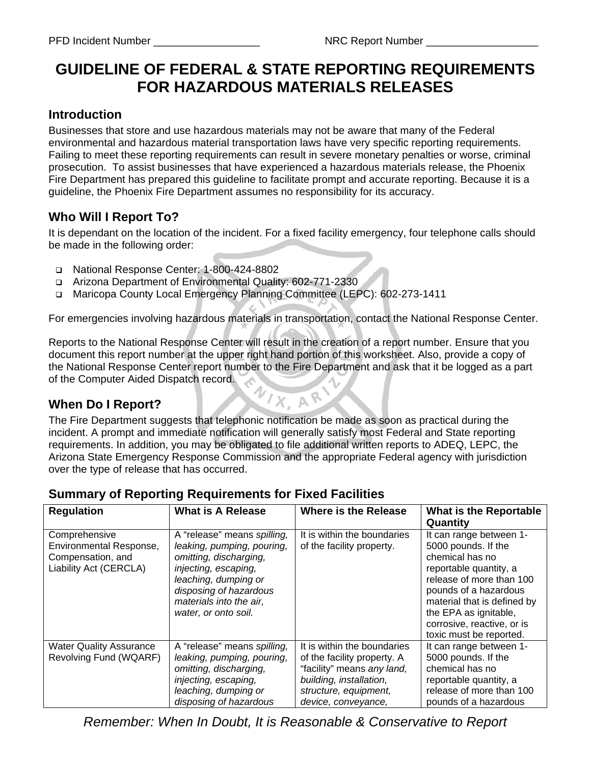# **GUIDELINE OF FEDERAL & STATE REPORTING REQUIREMENTS FOR HAZARDOUS MATERIALS RELEASES**

#### **Introduction**

Businesses that store and use hazardous materials may not be aware that many of the Federal environmental and hazardous material transportation laws have very specific reporting requirements. Failing to meet these reporting requirements can result in severe monetary penalties or worse, criminal prosecution. To assist businesses that have experienced a hazardous materials release, the Phoenix Fire Department has prepared this guideline to facilitate prompt and accurate reporting. Because it is a guideline, the Phoenix Fire Department assumes no responsibility for its accuracy.

# **Who Will I Report To?**

It is dependant on the location of the incident. For a fixed facility emergency, four telephone calls should be made in the following order:

- National Response Center: 1-800-424-8802
- Arizona Department of Environmental Quality: 602-771-2330
- Maricopa County Local Emergency Planning Committee (LEPC): 602-273-1411

For emergencies involving hazardous materials in transportation, contact the National Response Center.

Reports to the National Response Center will result in the creation of a report number. Ensure that you document this report number at the upper right hand portion of this worksheet. Also, provide a copy of the National Response Center report number to the Fire Department and ask that it be logged as a part of the Computer Aided Dispatch record. VIX, AR

### **When Do I Report?**

The Fire Department suggests that telephonic notification be made as soon as practical during the incident. A prompt and immediate notification will generally satisfy most Federal and State reporting requirements. In addition, you may be obligated to file additional written reports to ADEQ, LEPC, the Arizona State Emergency Response Commission and the appropriate Federal agency with jurisdiction over the type of release that has occurred.

| <b>Regulation</b>                                                                       | <b>What is A Release</b>                                                                                                                                                                                         | <b>Where is the Release</b>                                                                                                                                         | <b>What is the Reportable</b><br>Quantity                                                                                                                                                                                                                         |  |  |
|-----------------------------------------------------------------------------------------|------------------------------------------------------------------------------------------------------------------------------------------------------------------------------------------------------------------|---------------------------------------------------------------------------------------------------------------------------------------------------------------------|-------------------------------------------------------------------------------------------------------------------------------------------------------------------------------------------------------------------------------------------------------------------|--|--|
| Comprehensive<br>Environmental Response,<br>Compensation, and<br>Liability Act (CERCLA) | A "release" means spilling,<br>leaking, pumping, pouring,<br>omitting, discharging,<br>injecting, escaping,<br>leaching, dumping or<br>disposing of hazardous<br>materials into the air,<br>water, or onto soil. | It is within the boundaries<br>of the facility property.                                                                                                            | It can range between 1-<br>5000 pounds. If the<br>chemical has no<br>reportable quantity, a<br>release of more than 100<br>pounds of a hazardous<br>material that is defined by<br>the EPA as ignitable,<br>corrosive, reactive, or is<br>toxic must be reported. |  |  |
| <b>Water Quality Assurance</b><br>Revolving Fund (WQARF)                                | A "release" means spilling,<br>leaking, pumping, pouring,<br>omitting, discharging,<br>injecting, escaping,<br>leaching, dumping or<br>disposing of hazardous                                                    | It is within the boundaries<br>of the facility property. A<br>"facility" means any land,<br>building, installation,<br>structure, equipment,<br>device, conveyance, | It can range between 1-<br>5000 pounds. If the<br>chemical has no<br>reportable quantity, a<br>release of more than 100<br>pounds of a hazardous                                                                                                                  |  |  |

#### **Summary of Reporting Requirements for Fixed Facilities**

*Remember: When In Doubt, It is Reasonable & Conservative to Report*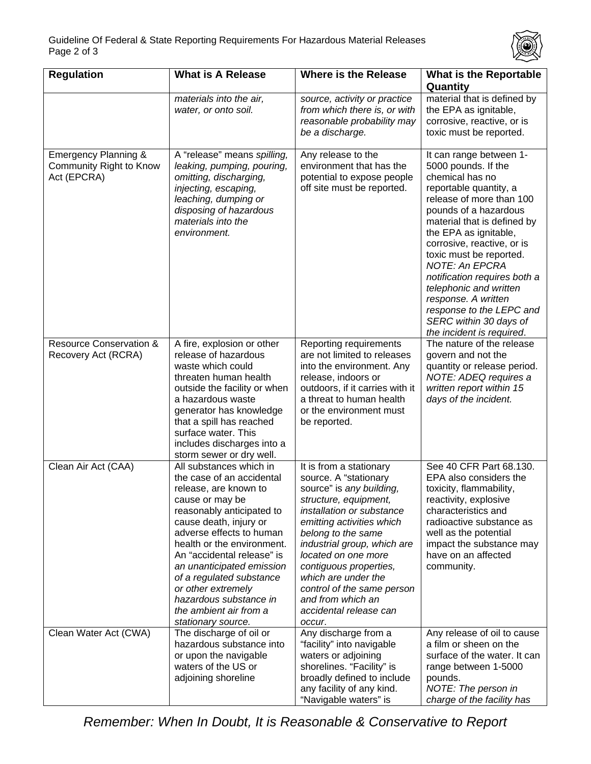

| <b>Regulation</b>                                              | <b>What is A Release</b>                                                                                                                                                                                                                                                                                                                                                                                 | <b>Where is the Release</b>                                                                                                                                                                                                                                                                                                                                                                | <b>What is the Reportable</b><br>Quantity                                                                                                                                                                                                                                                                                                                                                                                                                      |
|----------------------------------------------------------------|----------------------------------------------------------------------------------------------------------------------------------------------------------------------------------------------------------------------------------------------------------------------------------------------------------------------------------------------------------------------------------------------------------|--------------------------------------------------------------------------------------------------------------------------------------------------------------------------------------------------------------------------------------------------------------------------------------------------------------------------------------------------------------------------------------------|----------------------------------------------------------------------------------------------------------------------------------------------------------------------------------------------------------------------------------------------------------------------------------------------------------------------------------------------------------------------------------------------------------------------------------------------------------------|
|                                                                | materials into the air,<br>water, or onto soil.                                                                                                                                                                                                                                                                                                                                                          | source, activity or practice<br>from which there is, or with<br>reasonable probability may<br>be a discharge.                                                                                                                                                                                                                                                                              | material that is defined by<br>the EPA as ignitable,<br>corrosive, reactive, or is<br>toxic must be reported.                                                                                                                                                                                                                                                                                                                                                  |
| Emergency Planning &<br>Community Right to Know<br>Act (EPCRA) | A "release" means spilling,<br>leaking, pumping, pouring,<br>omitting, discharging,<br>injecting, escaping,<br>leaching, dumping or<br>disposing of hazardous<br>materials into the<br>environment.                                                                                                                                                                                                      | Any release to the<br>environment that has the<br>potential to expose people<br>off site must be reported.                                                                                                                                                                                                                                                                                 | It can range between 1-<br>5000 pounds. If the<br>chemical has no<br>reportable quantity, a<br>release of more than 100<br>pounds of a hazardous<br>material that is defined by<br>the EPA as ignitable,<br>corrosive, reactive, or is<br>toxic must be reported.<br><b>NOTE: An EPCRA</b><br>notification requires both a<br>telephonic and written<br>response. A written<br>response to the LEPC and<br>SERC within 30 days of<br>the incident is required. |
| <b>Resource Conservation &amp;</b><br>Recovery Act (RCRA)      | A fire, explosion or other<br>release of hazardous<br>waste which could<br>threaten human health<br>outside the facility or when<br>a hazardous waste<br>generator has knowledge<br>that a spill has reached<br>surface water. This<br>includes discharges into a<br>storm sewer or dry well.                                                                                                            | Reporting requirements<br>are not limited to releases<br>into the environment. Any<br>release, indoors or<br>outdoors, if it carries with it<br>a threat to human health<br>or the environment must<br>be reported.                                                                                                                                                                        | The nature of the release<br>govern and not the<br>quantity or release period.<br>NOTE: ADEQ requires a<br>written report within 15<br>days of the incident.                                                                                                                                                                                                                                                                                                   |
| Clean Air Act (CAA)                                            | All substances which in<br>the case of an accidental<br>release, are known to<br>cause or may be<br>reasonably anticipated to<br>cause death, injury or<br>adverse effects to human<br>health or the environment.<br>An "accidental release" is<br>an unanticipated emission<br>of a regulated substance<br>or other extremely<br>hazardous substance in<br>the ambient air from a<br>stationary source. | It is from a stationary<br>source. A "stationary<br>source" is any building,<br>structure, equipment,<br><i>installation or substance</i><br>emitting activities which<br>belong to the same<br>industrial group, which are<br>located on one more<br>contiguous properties,<br>which are under the<br>control of the same person<br>and from which an<br>accidental release can<br>occur. | See 40 CFR Part 68.130.<br>EPA also considers the<br>toxicity, flammability,<br>reactivity, explosive<br>characteristics and<br>radioactive substance as<br>well as the potential<br>impact the substance may<br>have on an affected<br>community.                                                                                                                                                                                                             |
| Clean Water Act (CWA)                                          | The discharge of oil or<br>hazardous substance into<br>or upon the navigable<br>waters of the US or<br>adjoining shoreline                                                                                                                                                                                                                                                                               | Any discharge from a<br>"facility" into navigable<br>waters or adjoining<br>shorelines. "Facility" is<br>broadly defined to include<br>any facility of any kind.<br>"Navigable waters" is                                                                                                                                                                                                  | Any release of oil to cause<br>a film or sheen on the<br>surface of the water. It can<br>range between 1-5000<br>pounds.<br>NOTE: The person in<br>charge of the facility has                                                                                                                                                                                                                                                                                  |

*Remember: When In Doubt, It is Reasonable & Conservative to Report*